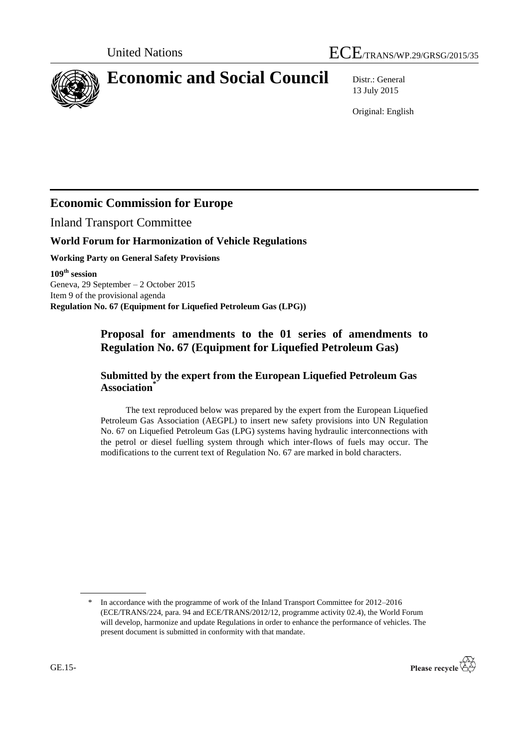



# **Economic and Social Council** Distr.: General

13 July 2015

Original: English

## **Economic Commission for Europe**

Inland Transport Committee

#### **World Forum for Harmonization of Vehicle Regulations**

**Working Party on General Safety Provisions**

**109 th session** Geneva, 29 September – 2 October 2015 Item 9 of the provisional agenda **Regulation No. 67 (Equipment for Liquefied Petroleum Gas (LPG))**

## **Proposal for amendments to the 01 series of amendments to Regulation No. 67 (Equipment for Liquefied Petroleum Gas)**

#### **Submitted by the expert from the European Liquefied Petroleum Gas Association\***

The text reproduced below was prepared by the expert from the European Liquefied Petroleum Gas Association (AEGPL) to insert new safety provisions into UN Regulation No. 67 on Liquefied Petroleum Gas (LPG) systems having hydraulic interconnections with the petrol or diesel fuelling system through which inter-flows of fuels may occur. The modifications to the current text of Regulation No. 67 are marked in bold characters.

In accordance with the programme of work of the Inland Transport Committee for 2012–2016 (ECE/TRANS/224, para. 94 and ECE/TRANS/2012/12, programme activity 02.4), the World Forum will develop, harmonize and update Regulations in order to enhance the performance of vehicles. The present document is submitted in conformity with that mandate.

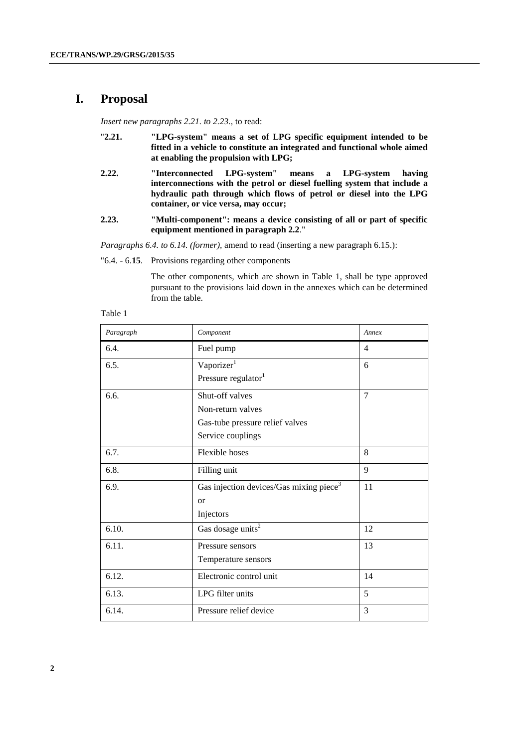#### **I. Proposal**

*Insert new paragraphs 2.21. to 2.23.,* to read:

- "**2.21. "LPG-system" means a set of LPG specific equipment intended to be fitted in a vehicle to constitute an integrated and functional whole aimed at enabling the propulsion with LPG;**
- **2.22. "Interconnected LPG-system" means a LPG-system having interconnections with the petrol or diesel fuelling system that include a hydraulic path through which flows of petrol or diesel into the LPG container, or vice versa, may occur;**
- **2.23. "Multi-component": means a device consisting of all or part of specific equipment mentioned in paragraph 2.2**."

*Paragraphs 6.4. to 6.14. (former),* amend to read (inserting a new paragraph 6.15.):

"6.4. - 6.**15**. Provisions regarding other components

The other components, which are shown in Table 1, shall be type approved pursuant to the provisions laid down in the annexes which can be determined from the table.

| abie |  |
|------|--|
|------|--|

| Paragraph | Component                                           | Annex          |
|-----------|-----------------------------------------------------|----------------|
| 6.4.      | Fuel pump                                           | $\overline{4}$ |
| 6.5.      | Vaporizer <sup>1</sup>                              | 6              |
|           | Pressure regulator <sup>1</sup>                     |                |
| 6.6.      | Shut-off valves                                     | $\overline{7}$ |
|           | Non-return valves                                   |                |
|           | Gas-tube pressure relief valves                     |                |
|           | Service couplings                                   |                |
| 6.7.      | <b>Flexible hoses</b>                               | 8              |
| 6.8.      | Filling unit                                        | 9              |
| 6.9.      | Gas injection devices/Gas mixing piece <sup>3</sup> | 11             |
|           | <b>or</b>                                           |                |
|           | Injectors                                           |                |
| 6.10.     | Gas dosage units <sup>2</sup>                       | 12             |
| 6.11.     | Pressure sensors                                    | 13             |
|           | Temperature sensors                                 |                |
| 6.12.     | Electronic control unit                             | 14             |
| 6.13.     | LPG filter units                                    | 5              |
| 6.14.     | Pressure relief device                              | 3              |

**2**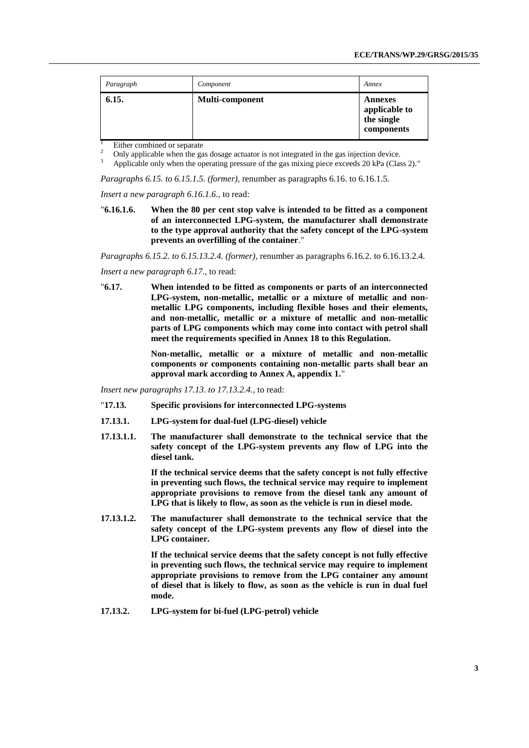| Paragraph | Component              | Annex                                                       |
|-----------|------------------------|-------------------------------------------------------------|
| 6.15.     | <b>Multi-component</b> | <b>Annexes</b><br>applicable to<br>the single<br>components |

 $\frac{1}{2}$  Either combined or separate

<sup>2</sup> Only applicable when the gas dosage actuator is not integrated in the gas injection device.

Applicable only when the operating pressure of the gas mixing piece exceeds 20 kPa (Class 2)."

*Paragraphs 6.15. to 6.15.1.5. (former),* renumber as paragraphs 6.16. to 6.16.1.5.

*Insert a new paragraph 6.16.1.6.,* to read:

"**6.16.1.6. When the 80 per cent stop valve is intended to be fitted as a component of an interconnected LPG-system, the manufacturer shall demonstrate to the type approval authority that the safety concept of the LPG-system prevents an overfilling of the container**."

*Paragraphs 6.15.2. to 6.15.13.2.4. (former),* renumber as paragraphs 6.16.2. to 6.16.13.2.4.

*Insert a new paragraph 6.17.,* to read:

"**6.17. When intended to be fitted as components or parts of an interconnected LPG-system, non-metallic, metallic or a mixture of metallic and nonmetallic LPG components, including flexible hoses and their elements, and non-metallic, metallic or a mixture of metallic and non-metallic parts of LPG components which may come into contact with petrol shall meet the requirements specified in Annex 18 to this Regulation.** 

> **Non-metallic, metallic or a mixture of metallic and non-metallic components or components containing non-metallic parts shall bear an approval mark according to Annex A, appendix 1.**"

*Insert new paragraphs 17.13. to 17.13.2.4.,* to read:

- "**17.13. Specific provisions for interconnected LPG-systems**
- **17.13.1. LPG-system for dual-fuel (LPG-diesel) vehicle**
- **17.13.1.1. The manufacturer shall demonstrate to the technical service that the safety concept of the LPG-system prevents any flow of LPG into the diesel tank.**

**If the technical service deems that the safety concept is not fully effective in preventing such flows, the technical service may require to implement appropriate provisions to remove from the diesel tank any amount of LPG that is likely to flow, as soon as the vehicle is run in diesel mode.**

**17.13.1.2. The manufacturer shall demonstrate to the technical service that the safety concept of the LPG-system prevents any flow of diesel into the LPG container.**

> **If the technical service deems that the safety concept is not fully effective in preventing such flows, the technical service may require to implement appropriate provisions to remove from the LPG container any amount of diesel that is likely to flow, as soon as the vehicle is run in dual fuel mode.**

**17.13.2. LPG-system for bi-fuel (LPG-petrol) vehicle**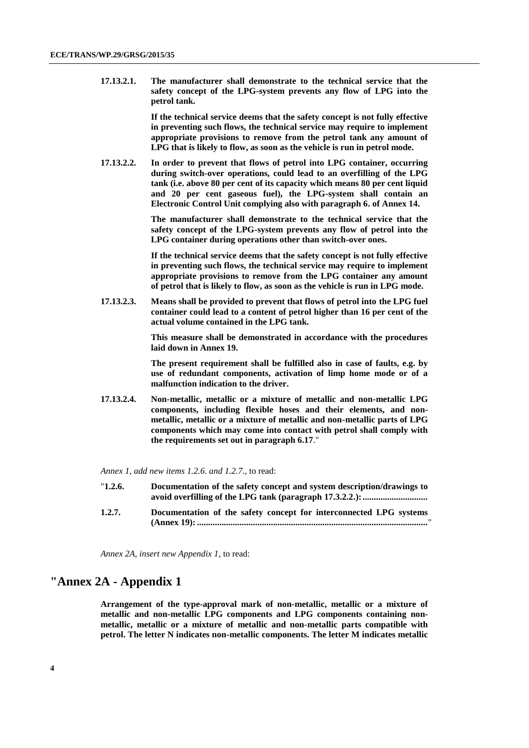**17.13.2.1. The manufacturer shall demonstrate to the technical service that the safety concept of the LPG-system prevents any flow of LPG into the petrol tank.** 

> **If the technical service deems that the safety concept is not fully effective in preventing such flows, the technical service may require to implement appropriate provisions to remove from the petrol tank any amount of LPG that is likely to flow, as soon as the vehicle is run in petrol mode.**

**17.13.2.2. In order to prevent that flows of petrol into LPG container, occurring during switch-over operations, could lead to an overfilling of the LPG tank (i.e. above 80 per cent of its capacity which means 80 per cent liquid and 20 per cent gaseous fuel), the LPG-system shall contain an Electronic Control Unit complying also with paragraph 6. of Annex 14.**

> **The manufacturer shall demonstrate to the technical service that the safety concept of the LPG-system prevents any flow of petrol into the LPG container during operations other than switch-over ones.**

> **If the technical service deems that the safety concept is not fully effective in preventing such flows, the technical service may require to implement appropriate provisions to remove from the LPG container any amount of petrol that is likely to flow, as soon as the vehicle is run in LPG mode.**

**17.13.2.3. Means shall be provided to prevent that flows of petrol into the LPG fuel container could lead to a content of petrol higher than 16 per cent of the actual volume contained in the LPG tank.**

> **This measure shall be demonstrated in accordance with the procedures laid down in Annex 19.**

> **The present requirement shall be fulfilled also in case of faults, e.g. by use of redundant components, activation of limp home mode or of a malfunction indication to the driver.**

**17.13.2.4. Non-metallic, metallic or a mixture of metallic and non-metallic LPG components, including flexible hoses and their elements, and nonmetallic, metallic or a mixture of metallic and non-metallic parts of LPG components which may come into contact with petrol shall comply with the requirements set out in paragraph 6.17**."

*Annex 1, add new items 1.2.6. and 1.2.7.,* to read:

- "**1.2.6. Documentation of the safety concept and system description/drawings to avoid overfilling of the LPG tank (paragraph 17.3.2.2.):.............................**
- **1.2.7. Documentation of the safety concept for interconnected LPG systems (Annex 19):.......................................................................................................**"

*Annex 2A, insert new Appendix 1,* to read:

#### **"Annex 2A - Appendix 1**

**Arrangement of the type-approval mark of non-metallic, metallic or a mixture of metallic and non-metallic LPG components and LPG components containing nonmetallic, metallic or a mixture of metallic and non-metallic parts compatible with petrol. The letter N indicates non-metallic components. The letter M indicates metallic**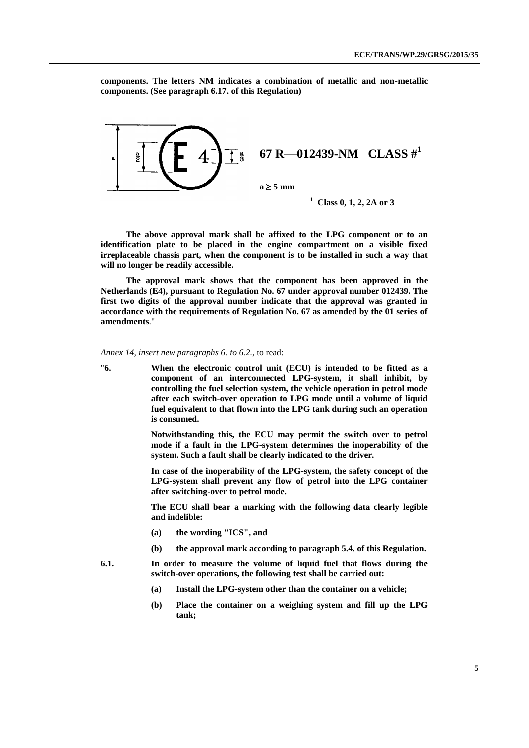**components. The letters NM indicates a combination of metallic and non-metallic components. (See paragraph 6.17. of this Regulation)**



**The above approval mark shall be affixed to the LPG component or to an identification plate to be placed in the engine compartment on a visible fixed irreplaceable chassis part, when the component is to be installed in such a way that will no longer be readily accessible.**

**The approval mark shows that the component has been approved in the Netherlands (E4), pursuant to Regulation No. 67 under approval number 012439. The first two digits of the approval number indicate that the approval was granted in accordance with the requirements of Regulation No. 67 as amended by the 01 series of amendments**."

*Annex 14, insert new paragraphs 6. to 6.2.,* to read:

"**6. When the electronic control unit (ECU) is intended to be fitted as a component of an interconnected LPG-system, it shall inhibit, by controlling the fuel selection system, the vehicle operation in petrol mode after each switch-over operation to LPG mode until a volume of liquid fuel equivalent to that flown into the LPG tank during such an operation is consumed.**

> **Notwithstanding this, the ECU may permit the switch over to petrol mode if a fault in the LPG-system determines the inoperability of the system. Such a fault shall be clearly indicated to the driver.**

> **In case of the inoperability of the LPG-system, the safety concept of the LPG-system shall prevent any flow of petrol into the LPG container after switching-over to petrol mode.**

> **The ECU shall bear a marking with the following data clearly legible and indelible:**

- **(a) the wording "ICS", and**
- **(b) the approval mark according to paragraph 5.4. of this Regulation.**
- **6.1. In order to measure the volume of liquid fuel that flows during the switch-over operations, the following test shall be carried out:** 
	- **(a) Install the LPG-system other than the container on a vehicle;**
	- **(b) Place the container on a weighing system and fill up the LPG tank;**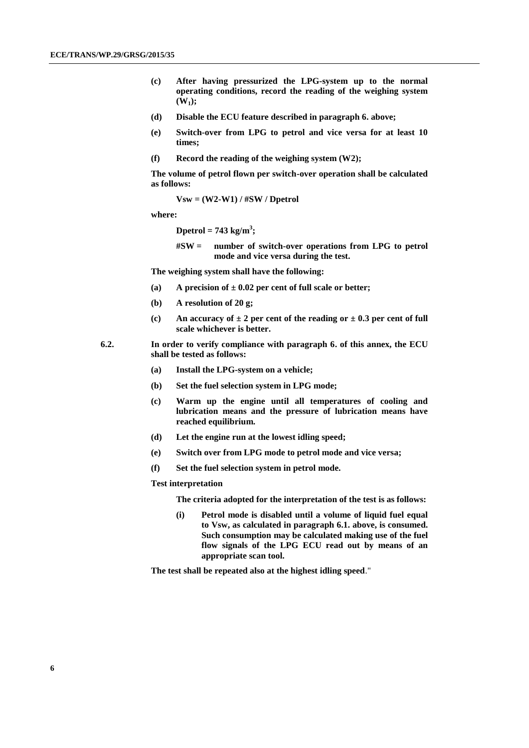- **(c) After having pressurized the LPG-system up to the normal operating conditions, record the reading of the weighing system**   $(W_1)$ ;
- **(d) Disable the ECU feature described in paragraph 6. above;**
- **(e) Switch-over from LPG to petrol and vice versa for at least 10 times;**
- **(f) Record the reading of the weighing system (W2);**

**The volume of petrol flown per switch-over operation shall be calculated as follows:** 

**Vsw = (W2-W1) / #SW / Dpetrol**

**where:**

**Dpetrol = 743 kg/m<sup>3</sup> ;**

**#SW = number of switch-over operations from LPG to petrol mode and vice versa during the test.**

**The weighing system shall have the following:**

- **(a) A precision of ± 0.02 per cent of full scale or better;**
- **(b) A resolution of 20 g;**
- **(c) An accuracy of ± 2 per cent of the reading or ± 0.3 per cent of full scale whichever is better.**
- **6.2. In order to verify compliance with paragraph 6. of this annex, the ECU shall be tested as follows:**
	- **(a) Install the LPG-system on a vehicle;**
	- **(b) Set the fuel selection system in LPG mode;**
	- **(c) Warm up the engine until all temperatures of cooling and lubrication means and the pressure of lubrication means have reached equilibrium.**
	- **(d) Let the engine run at the lowest idling speed;**
	- **(e) Switch over from LPG mode to petrol mode and vice versa;**
	- **(f) Set the fuel selection system in petrol mode.**

#### **Test interpretation**

**The criteria adopted for the interpretation of the test is as follows:**

**(i) Petrol mode is disabled until a volume of liquid fuel equal to Vsw, as calculated in paragraph 6.1. above, is consumed. Such consumption may be calculated making use of the fuel flow signals of the LPG ECU read out by means of an appropriate scan tool.**

**The test shall be repeated also at the highest idling speed**."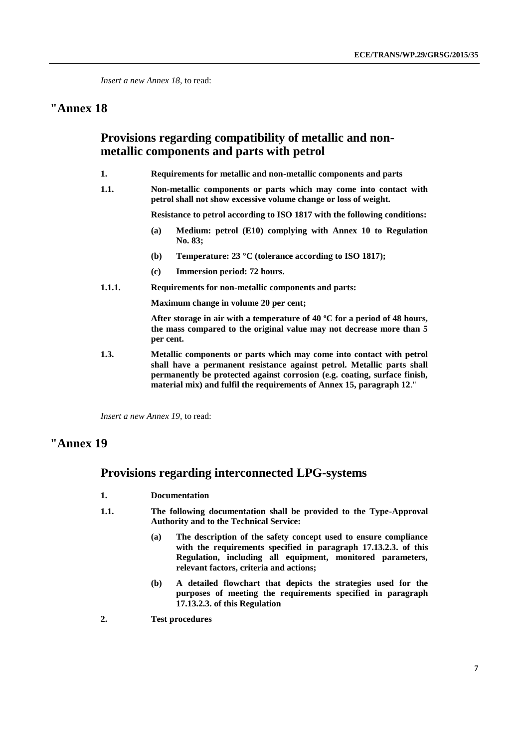*Insert a new Annex 18,* to read:

#### **"Annex 18**

## **Provisions regarding compatibility of metallic and nonmetallic components and parts with petrol**

- **1. Requirements for metallic and non-metallic components and parts**
- **1.1. Non-metallic components or parts which may come into contact with petrol shall not show excessive volume change or loss of weight.**

**Resistance to petrol according to ISO 1817 with the following conditions:**

- **(a) Medium: petrol (E10) complying with Annex 10 to Regulation No. 83;**
- **(b) Temperature: 23 °C (tolerance according to ISO 1817);**
- **(c) Immersion period: 72 hours.**
- **1.1.1. Requirements for non-metallic components and parts:**

**Maximum change in volume 20 per cent;**

**After storage in air with a temperature of 40 ºC for a period of 48 hours, the mass compared to the original value may not decrease more than 5 per cent.**

**1.3. Metallic components or parts which may come into contact with petrol shall have a permanent resistance against petrol. Metallic parts shall permanently be protected against corrosion (e.g. coating, surface finish, material mix) and fulfil the requirements of Annex 15, paragraph 12**."

*Insert a new Annex 19,* to read:

## **"Annex 19**

#### **Provisions regarding interconnected LPG-systems**

- **1. Documentation**
- **1.1. The following documentation shall be provided to the Type-Approval Authority and to the Technical Service:**
	- **(a) The description of the safety concept used to ensure compliance with the requirements specified in paragraph 17.13.2.3. of this Regulation, including all equipment, monitored parameters, relevant factors, criteria and actions;**
	- **(b) A detailed flowchart that depicts the strategies used for the purposes of meeting the requirements specified in paragraph 17.13.2.3. of this Regulation**
- **2. Test procedures**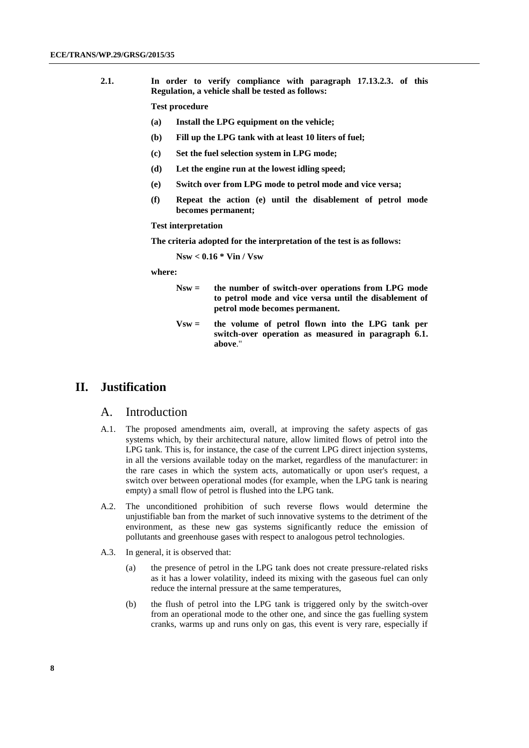**2.1. In order to verify compliance with paragraph 17.13.2.3. of this Regulation, a vehicle shall be tested as follows:**

**Test procedure**

- **(a) Install the LPG equipment on the vehicle;**
- **(b) Fill up the LPG tank with at least 10 liters of fuel;**
- **(c) Set the fuel selection system in LPG mode;**
- **(d) Let the engine run at the lowest idling speed;**
- **(e) Switch over from LPG mode to petrol mode and vice versa;**
- **(f) Repeat the action (e) until the disablement of petrol mode becomes permanent;**

#### **Test interpretation**

**The criteria adopted for the interpretation of the test is as follows:**

**Nsw < 0.16 \* Vin / Vsw**

**where:**

- **Nsw = the number of switch-over operations from LPG mode to petrol mode and vice versa until the disablement of petrol mode becomes permanent.**
- **Vsw = the volume of petrol flown into the LPG tank per switch-over operation as measured in paragraph 6.1. above**."

#### **II. Justification**

#### A. Introduction

- A.1. The proposed amendments aim, overall, at improving the safety aspects of gas systems which, by their architectural nature, allow limited flows of petrol into the LPG tank. This is, for instance, the case of the current LPG direct injection systems, in all the versions available today on the market, regardless of the manufacturer: in the rare cases in which the system acts, automatically or upon user's request, a switch over between operational modes (for example, when the LPG tank is nearing empty) a small flow of petrol is flushed into the LPG tank.
- A.2. The unconditioned prohibition of such reverse flows would determine the unjustifiable ban from the market of such innovative systems to the detriment of the environment, as these new gas systems significantly reduce the emission of pollutants and greenhouse gases with respect to analogous petrol technologies.
- A.3. In general, it is observed that:
	- (a) the presence of petrol in the LPG tank does not create pressure-related risks as it has a lower volatility, indeed its mixing with the gaseous fuel can only reduce the internal pressure at the same temperatures,
	- (b) the flush of petrol into the LPG tank is triggered only by the switch-over from an operational mode to the other one, and since the gas fuelling system cranks, warms up and runs only on gas, this event is very rare, especially if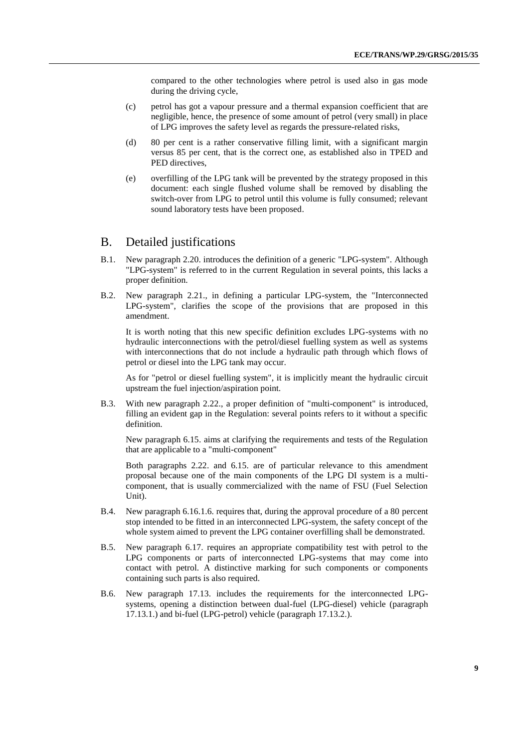compared to the other technologies where petrol is used also in gas mode during the driving cycle,

- (c) petrol has got a vapour pressure and a thermal expansion coefficient that are negligible, hence, the presence of some amount of petrol (very small) in place of LPG improves the safety level as regards the pressure-related risks,
- (d) 80 per cent is a rather conservative filling limit, with a significant margin versus 85 per cent, that is the correct one, as established also in TPED and PED directives,
- (e) overfilling of the LPG tank will be prevented by the strategy proposed in this document: each single flushed volume shall be removed by disabling the switch-over from LPG to petrol until this volume is fully consumed; relevant sound laboratory tests have been proposed.

#### B. Detailed justifications

- B.1. New paragraph 2.20. introduces the definition of a generic "LPG-system". Although "LPG-system" is referred to in the current Regulation in several points, this lacks a proper definition.
- B.2. New paragraph 2.21., in defining a particular LPG-system, the "Interconnected LPG-system", clarifies the scope of the provisions that are proposed in this amendment.

It is worth noting that this new specific definition excludes LPG-systems with no hydraulic interconnections with the petrol/diesel fuelling system as well as systems with interconnections that do not include a hydraulic path through which flows of petrol or diesel into the LPG tank may occur.

As for "petrol or diesel fuelling system", it is implicitly meant the hydraulic circuit upstream the fuel injection/aspiration point.

B.3. With new paragraph 2.22., a proper definition of "multi-component" is introduced, filling an evident gap in the Regulation: several points refers to it without a specific definition.

New paragraph 6.15. aims at clarifying the requirements and tests of the Regulation that are applicable to a "multi-component"

Both paragraphs 2.22. and 6.15. are of particular relevance to this amendment proposal because one of the main components of the LPG DI system is a multicomponent, that is usually commercialized with the name of FSU (Fuel Selection Unit).

- B.4. New paragraph 6.16.1.6. requires that, during the approval procedure of a 80 percent stop intended to be fitted in an interconnected LPG-system, the safety concept of the whole system aimed to prevent the LPG container overfilling shall be demonstrated.
- B.5. New paragraph 6.17. requires an appropriate compatibility test with petrol to the LPG components or parts of interconnected LPG-systems that may come into contact with petrol. A distinctive marking for such components or components containing such parts is also required.
- B.6. New paragraph 17.13. includes the requirements for the interconnected LPGsystems, opening a distinction between dual-fuel (LPG-diesel) vehicle (paragraph 17.13.1.) and bi-fuel (LPG-petrol) vehicle (paragraph 17.13.2.).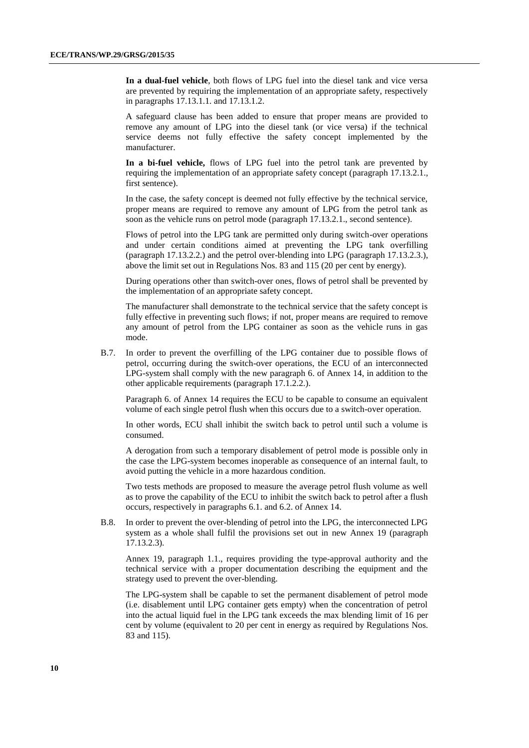**In a dual-fuel vehicle**, both flows of LPG fuel into the diesel tank and vice versa are prevented by requiring the implementation of an appropriate safety, respectively in paragraphs 17.13.1.1. and 17.13.1.2.

A safeguard clause has been added to ensure that proper means are provided to remove any amount of LPG into the diesel tank (or vice versa) if the technical service deems not fully effective the safety concept implemented by the manufacturer.

**In a bi-fuel vehicle,** flows of LPG fuel into the petrol tank are prevented by requiring the implementation of an appropriate safety concept (paragraph 17.13.2.1., first sentence).

In the case, the safety concept is deemed not fully effective by the technical service, proper means are required to remove any amount of LPG from the petrol tank as soon as the vehicle runs on petrol mode (paragraph 17.13.2.1., second sentence).

Flows of petrol into the LPG tank are permitted only during switch-over operations and under certain conditions aimed at preventing the LPG tank overfilling (paragraph 17.13.2.2.) and the petrol over-blending into LPG (paragraph 17.13.2.3.), above the limit set out in Regulations Nos. 83 and 115 (20 per cent by energy).

During operations other than switch-over ones, flows of petrol shall be prevented by the implementation of an appropriate safety concept.

The manufacturer shall demonstrate to the technical service that the safety concept is fully effective in preventing such flows; if not, proper means are required to remove any amount of petrol from the LPG container as soon as the vehicle runs in gas mode.

B.7. In order to prevent the overfilling of the LPG container due to possible flows of petrol, occurring during the switch-over operations, the ECU of an interconnected LPG-system shall comply with the new paragraph 6. of Annex 14, in addition to the other applicable requirements (paragraph 17.1.2.2.).

Paragraph 6. of Annex 14 requires the ECU to be capable to consume an equivalent volume of each single petrol flush when this occurs due to a switch-over operation.

In other words, ECU shall inhibit the switch back to petrol until such a volume is consumed.

A derogation from such a temporary disablement of petrol mode is possible only in the case the LPG-system becomes inoperable as consequence of an internal fault, to avoid putting the vehicle in a more hazardous condition.

Two tests methods are proposed to measure the average petrol flush volume as well as to prove the capability of the ECU to inhibit the switch back to petrol after a flush occurs, respectively in paragraphs 6.1. and 6.2. of Annex 14.

B.8. In order to prevent the over-blending of petrol into the LPG, the interconnected LPG system as a whole shall fulfil the provisions set out in new Annex 19 (paragraph 17.13.2.3).

Annex 19, paragraph 1.1., requires providing the type-approval authority and the technical service with a proper documentation describing the equipment and the strategy used to prevent the over-blending.

The LPG-system shall be capable to set the permanent disablement of petrol mode (i.e. disablement until LPG container gets empty) when the concentration of petrol into the actual liquid fuel in the LPG tank exceeds the max blending limit of 16 per cent by volume (equivalent to 20 per cent in energy as required by Regulations Nos. 83 and 115).